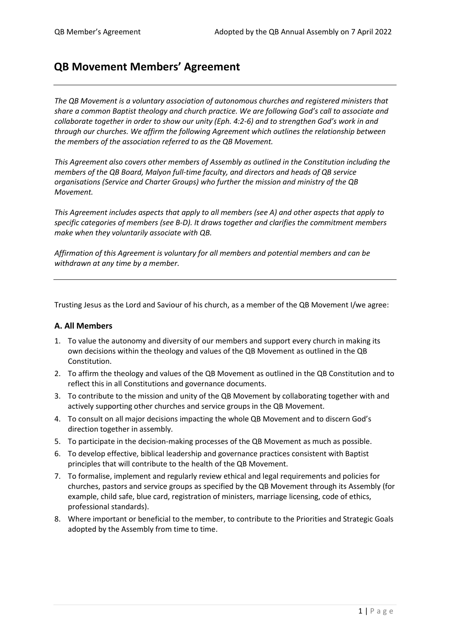# **QB Movement Members' Agreement**

*The QB Movement is a voluntary association of autonomous churches and registered ministers that share a common Baptist theology and church practice. We are following God's call to associate and collaborate together in order to show our unity (Eph. 4:2-6) and to strengthen God's work in and through our churches. We affirm the following Agreement which outlines the relationship between the members of the association referred to as the QB Movement.*

*This Agreement also covers other members of Assembly as outlined in the Constitution including the members of the QB Board, Malyon full-time faculty, and directors and heads of QB service organisations (Service and Charter Groups) who further the mission and ministry of the QB Movement.* 

*This Agreement includes aspects that apply to all members (see A) and other aspects that apply to specific categories of members (see B-D). It draws together and clarifies the commitment members make when they voluntarily associate with QB.*

*Affirmation of this Agreement is voluntary for all members and potential members and can be withdrawn at any time by a member.*

Trusting Jesus as the Lord and Saviour of his church, as a member of the QB Movement I/we agree:

#### **A. All Members**

- 1. To value the autonomy and diversity of our members and support every church in making its own decisions within the theology and values of the QB Movement as outlined in the QB Constitution.
- 2. To affirm the theology and values of the QB Movement as outlined in the QB Constitution and to reflect this in all Constitutions and governance documents.
- 3. To contribute to the mission and unity of the QB Movement by collaborating together with and actively supporting other churches and service groups in the QB Movement.
- 4. To consult on all major decisions impacting the whole QB Movement and to discern God's direction together in assembly.
- 5. To participate in the decision-making processes of the QB Movement as much as possible.
- 6. To develop effective, biblical leadership and governance practices consistent with Baptist principles that will contribute to the health of the QB Movement.
- 7. To formalise, implement and regularly review ethical and legal requirements and policies for churches, pastors and service groups as specified by the QB Movement through its Assembly (for example, child safe, blue card, registration of ministers, marriage licensing, code of ethics, professional standards).
- 8. Where important or beneficial to the member, to contribute to the Priorities and Strategic Goals adopted by the Assembly from time to time.